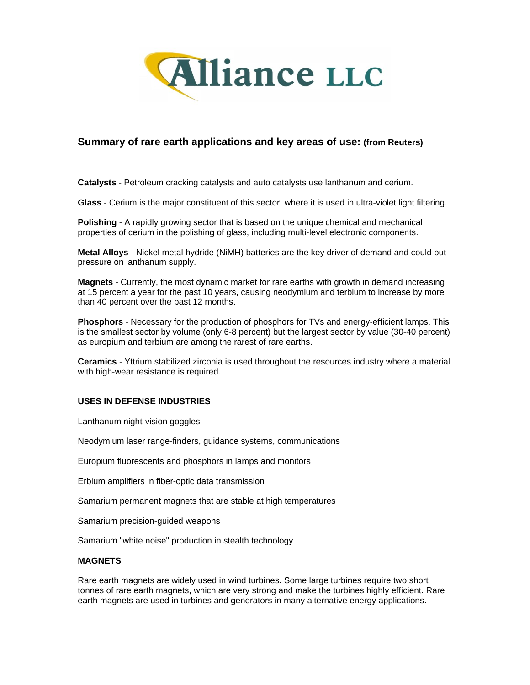

# **Summary of rare earth applications and key areas of use: (from Reuters)**

**Catalysts** - Petroleum cracking catalysts and auto catalysts use lanthanum and cerium.

**Glass** - Cerium is the major constituent of this sector, where it is used in ultra-violet light filtering.

**Polishing** - A rapidly growing sector that is based on the unique chemical and mechanical properties of cerium in the polishing of glass, including multi-level electronic components.

**Metal Alloys** - Nickel metal hydride (NiMH) batteries are the key driver of demand and could put pressure on lanthanum supply.

**Magnets** - Currently, the most dynamic market for rare earths with growth in demand increasing at 15 percent a year for the past 10 years, causing neodymium and terbium to increase by more than 40 percent over the past 12 months.

**Phosphors** - Necessary for the production of phosphors for TVs and energy-efficient lamps. This is the smallest sector by volume (only 6-8 percent) but the largest sector by value (30-40 percent) as europium and terbium are among the rarest of rare earths.

**Ceramics** - Yttrium stabilized zirconia is used throughout the resources industry where a material with high-wear resistance is required.

#### **USES IN DEFENSE INDUSTRIES**

Lanthanum night-vision goggles

Neodymium laser range-finders, guidance systems, communications

Europium fluorescents and phosphors in lamps and monitors

Erbium amplifiers in fiber-optic data transmission

Samarium permanent magnets that are stable at high temperatures

Samarium precision-guided weapons

Samarium "white noise" production in stealth technology

#### **MAGNETS**

Rare earth magnets are widely used in wind turbines. Some large turbines require two short tonnes of rare earth magnets, which are very strong and make the turbines highly efficient. Rare earth magnets are used in turbines and generators in many alternative energy applications.